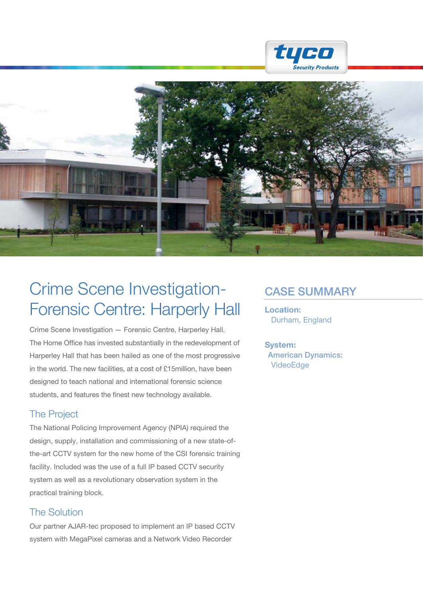



## Crime Scene Investigation- CASE SUMMARY Forensic Centre: Harperly Hall

Crime Scene Investigation — Forensic Centre, Harperley Hall. The Home Office has invested substantially in the redevelopment of Harperley Hall that has been hailed as one of the most progressive in the world. The new facilities, at a cost of £15million, have been designed to teach national and international forensic science students, and features the finest new technology available.

## The Project

The National Policing Improvement Agency (NPIA) required the design, supply, installation and commissioning of a new state-ofthe-art CCTV system for the new home of the CSI forensic training facility. Included was the use of a full IP based CCTV security system as well as a revolutionary observation system in the practical training block.

## The Solution

Our partner AJAR-tec proposed to implement an IP based CCTV system with MegaPixel cameras and a Network Video Recorder

Location: Durham, England

System: American Dynamics: VideoEdge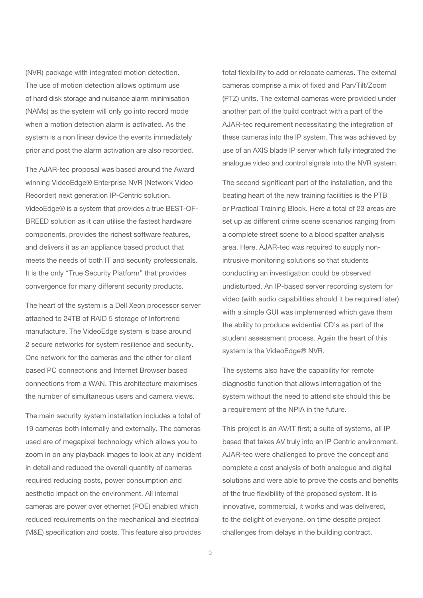(NVR) package with integrated motion detection. The use of motion detection allows optimum use of hard disk storage and nuisance alarm minimisation (NAMs) as the system will only go into record mode when a motion detection alarm is activated. As the system is a non linear device the events immediately prior and post the alarm activation are also recorded.

The AJAR-tec proposal was based around the Award winning VideoEdge® Enterprise NVR (Network Video Recorder) next generation IP-Centric solution. VideoEdge® is a system that provides a true BEST-OF-BREED solution as it can utilise the fastest hardware components, provides the richest software features, and delivers it as an appliance based product that meets the needs of both IT and security professionals. It is the only "True Security Platform" that provides convergence for many different security products.

The heart of the system is a Dell Xeon processor server attached to 24TB of RAID 5 storage of Infortrend manufacture. The VideoEdge system is base around 2 secure networks for system resilience and security. One network for the cameras and the other for client based PC connections and Internet Browser based connections from a WAN. This architecture maximises the number of simultaneous users and camera views.

The main security system installation includes a total of 19 cameras both internally and externally. The cameras used are of megapixel technology which allows you to zoom in on any playback images to look at any incident in detail and reduced the overall quantity of cameras required reducing costs, power consumption and aesthetic impact on the environment. All internal cameras are power over ethernet (POE) enabled which reduced requirements on the mechanical and electrical (M&E) specification and costs. This feature also provides

total flexibility to add or relocate cameras. The external cameras comprise a mix of fixed and Pan/Tilt/Zoom (PTZ) units. The external cameras were provided under another part of the build contract with a part of the AJAR-tec requirement necessitating the integration of these cameras into the IP system. This was achieved by use of an AXIS blade IP server which fully integrated the analogue video and control signals into the NVR system.

The second significant part of the installation, and the beating heart of the new training facilities is the PTB or Practical Training Block. Here a total of 23 areas are set up as different crime scene scenarios ranging from a complete street scene to a blood spatter analysis area. Here, AJAR-tec was required to supply nonintrusive monitoring solutions so that students conducting an investigation could be observed undisturbed. An IP-based server recording system for video (with audio capabilities should it be required later) with a simple GUI was implemented which gave them the ability to produce evidential CD's as part of the student assessment process. Again the heart of this system is the VideoEdge® NVR.

The systems also have the capability for remote diagnostic function that allows interrogation of the system without the need to attend site should this be a requirement of the NPIA in the future.

This project is an AV/IT first; a suite of systems, all IP based that takes AV truly into an IP Centric environment. AJAR-tec were challenged to prove the concept and complete a cost analysis of both analogue and digital solutions and were able to prove the costs and benefits of the true flexibility of the proposed system. It is innovative, commercial, it works and was delivered, to the delight of everyone, on time despite project challenges from delays in the building contract.